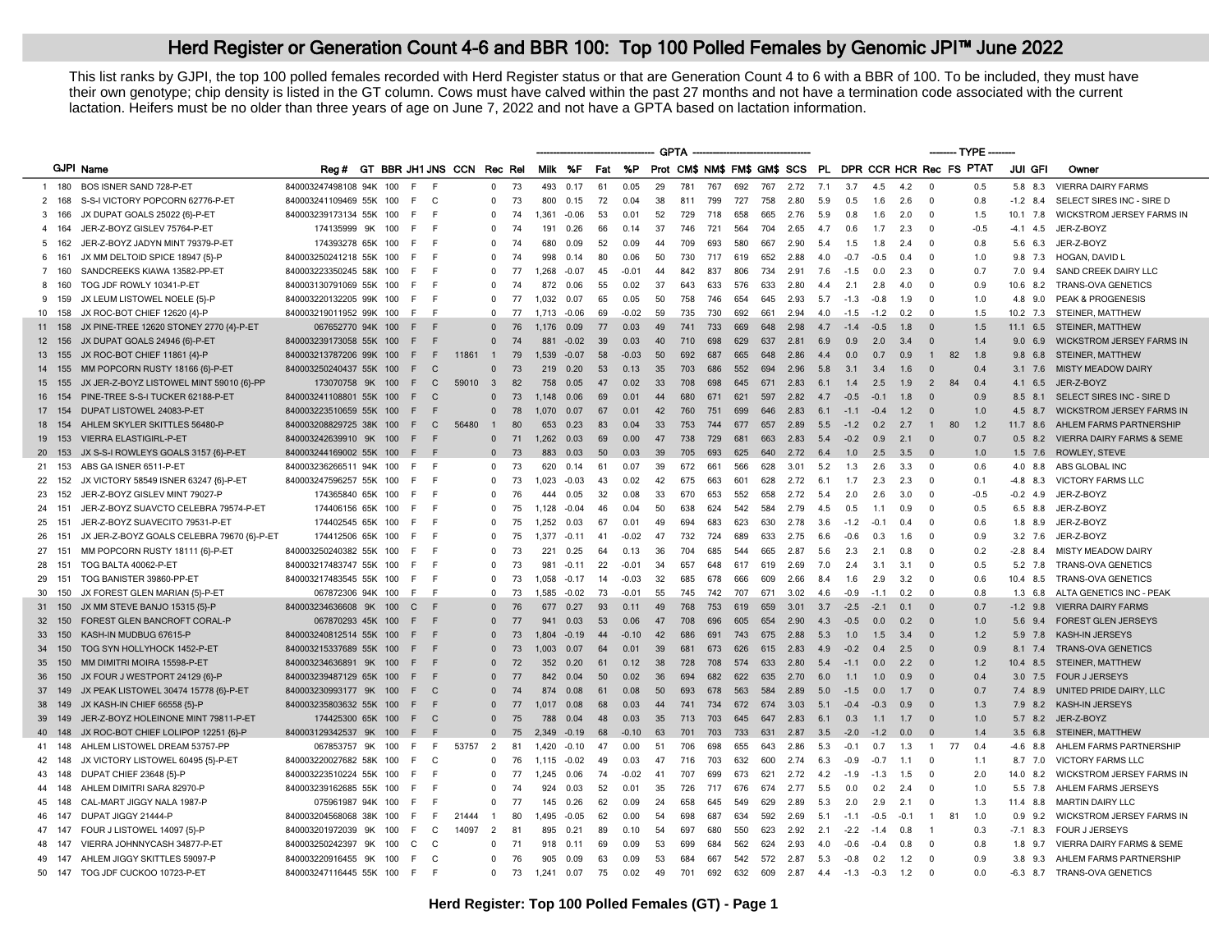## Herd Register or Generation Count 4-6 and BBR 100: Top 100 Polled Females by Genomic JPI<sup>™</sup> June 2022

This list ranks by GJPI, the top 100 polled females recorded with Herd Register status or that are Generation Count 4 to 6 with a BBR of 100. To be included, they must have their own genotype; chip density is listed in the GT column. Cows must have calved within the past 27 months and not have a termination code associated with the current lactation. Heifers must be no older than three years of age on June 7, 2022 and not have a GPTA based on lactation information.

|        |       |                                            |                         |                     |                |                                 |                         |    |       |         |     |         | <b>GPTA</b> |     |     |     |     |      |     |        |        |        |                | --- TYPE                                                |                 |                                      |
|--------|-------|--------------------------------------------|-------------------------|---------------------|----------------|---------------------------------|-------------------------|----|-------|---------|-----|---------|-------------|-----|-----|-----|-----|------|-----|--------|--------|--------|----------------|---------------------------------------------------------|-----------------|--------------------------------------|
|        |       | <b>GJPI Name</b>                           |                         |                     |                | Rea# GT BBR JH1 JNS CCN Rec Rel |                         |    |       | Milk %F | Fat | %P      |             |     |     |     |     |      |     |        |        |        |                | Prot CM\$ NM\$ FM\$ GM\$ SCS PL DPR CCR HCR Rec FS PTAT | JUI GFI         | Owner                                |
| 1 180  |       | BOS ISNER SAND 728-P-ET                    | 840003247498108 94K 100 | E                   | - F            |                                 | $^{\circ}$              | 73 | 493   | 0.17    | 61  | 0.05    | 29          | 781 | 767 | 692 | 767 | 2.72 | 7.1 | 3.7    | 4.5    | 4.2    | $\Omega$       | 0.5                                                     | 5.8 8.3         | <b>VIERRA DAIRY FARMS</b>            |
| 2 168  |       | S-S-I VICTORY POPCORN 62776-P-ET           | 840003241109469 55K 100 | F                   | $\mathsf{C}$   |                                 | $\mathbf 0$             | 73 | 800   | 0.15    | 72  | 0.04    | 38          | 811 | 799 | 727 | 758 | 2.80 | 5.9 | 0.5    | 1.6    | 2.6    | $\Omega$       | 0.8                                                     | $-1.2$ 8.4      | SELECT SIRES INC - SIRE D            |
| 3 166  |       | JX DUPAT GOALS 25022 {6}-P-ET              | 840003239173134 55K     | 100<br>E            | - F            |                                 | $\Omega$                | 74 | 1.361 | $-0.06$ | 53  | 0.01    | 52          | 729 | 718 | 658 | 665 | 2.76 | 5.9 | 0.8    | 1.6    | 2.0    | $\Omega$       | 1.5                                                     | 10.1<br>7.8     | <b>WICKSTROM JERSEY FARMS IN</b>     |
| 4 164  |       | JER-Z-BOYZ GISLEV 75764-P-ET               | 174135999 9K            | 100<br>F.           | E              |                                 | $\Omega$                | 74 | 191   | 0.26    | 66  | 0.14    | 37          | 746 | 721 | 564 | 704 | 2.65 | 4.7 | 0.6    | 1.7    | 2.3    | $\Omega$       | $-0.5$                                                  | $-4.1$ 4.5      | JER-Z-BOYZ                           |
| 5      | 162   | JER-Z-BOYZ JADYN MINT 79379-P-ET           | 174393278 65K 100       | E                   | E              |                                 | $\Omega$                | 74 | 680   | 0.09    | 52  | 0.09    | 44          | 709 | 693 | 580 | 667 | 2.90 | 5.4 | 1.5    | 1.8    | 2.4    | $\Omega$       | 0.8                                                     | 5.6 6.3         | JER-Z-BOYZ                           |
| 6 161  |       | JX MM DELTOID SPICE 18947 {5}-P            | 840003250241218 55K 100 | F.                  | - F            |                                 | $\Omega$                | 74 | 998   | 0.14    | 80  | 0.06    | 50          | 730 | 717 | 619 | 652 | 2.88 | 4.0 | $-0.7$ | $-0.5$ | 0.4    | $\Omega$       | 1.0                                                     | 9.8 7.3         | <b>HOGAN, DAVID L</b>                |
| 7 160  |       | SANDCREEKS KIAWA 13582-PP-ET               | 840003223350245 58K 100 | F                   | - F            |                                 | $\Omega$                | 77 | 1.268 | $-0.07$ | 45  | $-0.01$ | 44          | 842 | 837 | 806 | 734 | 2.91 | 7.6 | $-1.5$ | 0.0    | 2.3    |                | 0.7                                                     | $7.0$ 9.4       | SAND CREEK DAIRY LLC                 |
| 8 160  |       | TOG JDF ROWLY 10341-P-ET                   | 840003130791069 55K 100 | F                   | E              |                                 | $\Omega$                | 74 | 872   | 0.06    | 55  | 0.02    | 37          | 643 | 633 | 576 | 633 | 2.80 | 4.4 | 2.1    | 2.8    | 4.0    | $\Omega$       | 0.9                                                     | 10.6 8.2        | <b>TRANS-OVA GENETICS</b>            |
| 9 159  |       | JX LEUM LISTOWEL NOELE {5}-P               | 840003220132205 99K 100 | F.                  | E              |                                 | $\mathbf 0$             | 77 | 1,032 | 0.07    | 65  | 0.05    | 50          | 758 | 746 | 654 | 645 | 2.93 | 5.7 | $-1.3$ | $-0.8$ | 1.9    | $\Omega$       | 1.0                                                     | 4.8 9.0         | PEAK & PROGENESIS                    |
| 10 158 |       | JX ROC-BOT CHIEF 12620 {4}-P               | 840003219011952 99K 100 | E                   | - F            |                                 | $\Omega$                | 77 | 1.713 | $-0.06$ | 69  | $-0.02$ | 59          | 735 | 730 | 692 | 661 | 2.94 | 4.0 | $-1.5$ | $-1.2$ | 0.2    | $\Omega$       | 1.5                                                     | $10.2$ 7.3      | STEINER, MATTHEW                     |
| 11 158 |       | JX PINE-TREE 12620 STONEY 2770 {4}-P-ET    | 067652770 94K 100       | F.                  | E              |                                 | $\Omega$                | 76 | 1,176 | 0.09    | 77  | 0.03    | 49          | 741 | 733 | 669 | 648 | 2.98 | 4.7 | $-1.4$ | $-0.5$ | 1.8    | $\Omega$       | 1.5                                                     | $11.1 \t6.5$    | STEINER, MATTHEW                     |
| 12     | 156   | JX DUPAT GOALS 24946 {6}-P-ET              | 840003239173058 55K 100 | F                   | E              |                                 | $\Omega$                | 74 | 881   | $-0.02$ | 39  | 0.03    | 40          | 710 | 698 | 629 | 637 | 2.81 | 6.9 | 0.9    | 2.0    | 3.4    | $\Omega$       | 1.4                                                     | 9.06.9          | <b>WICKSTROM JERSEY FARMS IN</b>     |
| 13 155 |       | JX ROC-BOT CHIEF 11861 {4}-P               | 840003213787206 99K 100 | F                   | F              | 11861                           | $\overline{1}$          | 79 | 1.539 | $-0.07$ | 58  | $-0.03$ | 50          | 692 | 687 | 665 | 648 | 2.86 | 4.4 | 0.0    | 0.7    | 0.9    | $\mathbf{1}$   | 82<br>1.8                                               | $9.8\quad 6.8$  | STEINER, MATTHEW                     |
|        | 155   | MM POPCORN RUSTY 18166 {6}-P-ET            | 840003250240437 55K 100 | F                   | $\mathbf C$    |                                 | 0                       | 73 | 219   | 0.20    | 53  | 0.13    | 35          | 703 | 686 | 552 | 694 | 2.96 | 5.8 | 3.1    | 3.4    | 1.6    |                | 0.4                                                     | $3.1 \quad 7.6$ | <b>MISTY MEADOW DAIRY</b>            |
| 15     | 155   | JX JER-Z-BOYZ LISTOWEL MINT 59010 {6}-PP   | 173070758 9K 100        | E                   | $\mathbf C$    | 59010                           | $\overline{\mathbf{3}}$ | 82 | 758   | 0.05    | 47  | 0.02    | 33          | 708 | 698 | 645 | 671 | 2.83 | 6.1 | 14     | 2.5    | 1.9    | $\overline{2}$ | 84<br>0.4                                               | 4.1 6.5         | JER-Z-BOYZ                           |
| 16 154 |       | PINE-TREE S-S-I TUCKER 62188-P-ET          | 840003241108801 55K 100 | F                   | $\mathbf C$    |                                 | $\Omega$                | 73 | 1.148 | 0.06    | 69  | 0.01    | 44          | 680 | 671 | 621 | 597 | 2.82 | 4.7 | $-0.5$ | $-0.1$ | 1.8    | $\Omega$       | 0.9                                                     | 8.5 8.1         | SELECT SIRES INC - SIRE D            |
| 17     | 154   | DUPAT LISTOWEL 24083-P-ET                  | 840003223510659 55K 100 | F                   | E              |                                 | $\Omega$                | 78 | 1.070 | 0.07    | 67  | 0.01    | 42          | 760 | 751 | 699 | 646 | 2.83 | 6.1 | $-1.1$ | $-0.4$ | 1.2    |                | 1.0                                                     | 8.7<br>4.5      | <b>WICKSTROM JERSEY FARMS IN</b>     |
| 18     | 154   | AHLEM SKYLER SKITTLES 56480-P              | 840003208829725 38K 100 | F                   | $\mathsf{C}$   | 56480                           | $\overline{1}$          | 80 | 653   | 0.23    | 83  | 0.04    | 33          | 753 | 744 | 677 | 657 | 2.89 | 5.5 | $-1.2$ | 0.2    | 2.7    | $\mathbf{1}$   | 80<br>1.2                                               | 11.7 8.6        | AHLEM FARMS PARTNERSHIP              |
| 19     | 153   | <b>VIERRA ELASTIGIRL-P-ET</b>              | 840003242639910 9K      | 100<br>E            | E              |                                 | $\Omega$                | 71 | 1.262 | 0.03    | 69  | 0.00    | 47          | 738 | 729 | 681 | 663 | 2.83 | 5.4 | $-0.2$ | 0.9    | 2.1    | $\Omega$       | 0.7                                                     | $0.5$ 8.2       | <b>VIERRA DAIRY FARMS &amp; SEME</b> |
| 20 153 |       | JX S-S-I ROWLEYS GOALS 3157 (6)-P-ET       | 840003244169002 55K 100 | F                   | - F            |                                 | $\Omega$                | 73 | 883   | 0.03    | 50  | 0.03    | 39          | 705 | 693 | 625 | 640 | 2.72 | 6.4 | 1.0    | 2.5    | 3.5    |                | 1.0                                                     |                 | 1.5 7.6 ROWLEY, STEVE                |
| 21 153 |       | ABS GA ISNER 6511-P-ET                     | 840003236266511 94K 100 | F.                  | E              |                                 | 0                       | 73 | 620   | 0.14    | 61  | 0.07    | 39          | 672 | 661 | 566 | 628 | 3.01 | 5.2 | 1.3    | 2.6    | 3.3    | $\Omega$       | 0.6                                                     | 4.0 8.8         | ABS GLOBAL INC                       |
| 22     | 152   | JX VICTORY 58549 ISNER 63247 {6}-P-ET      | 840003247596257 55K 100 | E                   | E              |                                 | $\Omega$                | 73 | 1,023 | $-0.03$ | 43  | 0.02    | 42          | 675 | 663 | 601 | 628 | 2.72 | 6.1 | 1.7    | 2.3    | 2.3    | $\Omega$       | 0.1                                                     | $-4.8$ 8.3      | <b>VICTORY FARMS LLC</b>             |
| 23 152 |       | JER-Z-BOYZ GISLEV MINT 79027-P             | 174365840 65K 100       | F                   | E              |                                 | $\Omega$                | 76 | 444   | 0.05    | 32  | 0.08    | 33          | 670 | 653 | 552 | 658 | 2.72 | 5.4 | 2.0    | 2.6    | 3.0    | $\Omega$       | $-0.5$                                                  | $-0.2$ 4.9      | JER-Z-BOYZ                           |
| 24     | 151   | JER-Z-BOYZ SUAVCTO CELEBRA 79574-P-ET      | 174406156 65K 100       | E                   | - F            |                                 | $\Omega$                | 75 | 1.128 | $-0.04$ | 46  | 0.04    | 50          | 638 | 624 | 542 | 584 | 2.79 | 4.5 | 0.5    | 1.1    | 0.9    | $\Omega$       | 0.5                                                     | 6.5 8.8         | JER-Z-BOYZ                           |
| 25     | 151   | JER-Z-BOYZ SUAVECITO 79531-P-ET            | 174402545 65K 100       | F.                  | E              |                                 | $\mathbf 0$             | 75 | 1,252 | 0.03    | 67  | 0.01    | 49          | 694 | 683 | 623 | 630 | 2.78 | 3.6 | $-1.2$ | $-0.1$ | 0.4    | $\Omega$       | 0.6                                                     | 1.8 8.9         | JER-Z-BOYZ                           |
| 26     | - 151 | JX JER-Z-BOYZ GOALS CELEBRA 79670 {6}-P-ET | 174412506 65K 100       | F                   | - F            |                                 | $\Omega$                | 75 | 1.377 | $-0.11$ | 41  | $-0.02$ | 47          | 732 | 724 | 689 | 633 | 2.75 | 6.6 | $-0.6$ | 0.3    | 1.6    | $\Omega$       | 0.9                                                     | $3.2$ 7.6       | JER-Z-BOYZ                           |
| 27     | 151   | MM POPCORN RUSTY 18111 {6}-P-ET            | 840003250240382 55K 100 | F                   | - F            |                                 | $\Omega$                | 73 | 221   | 0.25    | 64  | 0.13    | 36          | 704 | 685 | 544 | 665 | 2.87 | 5.6 | 2.3    | 2.1    | 0.8    | $\Omega$       | 0.2                                                     | $-2.8$ 8.4      | <b>MISTY MEADOW DAIRY</b>            |
| 28 151 |       | TOG BALTA 40062-P-ET                       | 840003217483747 55K 100 | E                   | $\overline{F}$ |                                 | $\Omega$                | 73 | 981   | $-0.11$ | 22  | $-0.01$ | 34          | 657 | 648 | 617 | 619 | 2.69 | 7.0 | 2.4    | 3.1    | 3.1    | $\Omega$       | 0.5                                                     | 5.2 7.8         | <b>TRANS-OVA GENETICS</b>            |
| 29     | 151   | TOG BANISTER 39860-PP-ET                   | 840003217483545 55K 100 | E                   | <b>F</b>       |                                 | $\Omega$                | 73 | 1.058 | $-0.17$ | 14  | $-0.03$ | 32          | 685 | 678 | 666 | 609 | 2.66 | 84  | 1.6    | 2.9    | 3.2    | $\Omega$       | 0.6                                                     | 10.4 8.5        | <b>TRANS-OVA GENETICS</b>            |
| 30 150 |       | JX FOREST GLEN MARIAN {5}-P-ET             | 067872306 94K 100       | F.                  | - F            |                                 | $\Omega$                | 73 | 1,585 | $-0.02$ | 73  | $-0.01$ | 55          | 745 | 742 | 707 | 671 | 3.02 | 4.6 | $-0.9$ | $-1.1$ | 0.2    | $\Omega$       | 0.8                                                     | $1.3\quad 6.8$  | ALTA GENETICS INC - PEAK             |
| 31     | 150   | JX MM STEVE BANJO 15315 {5}-P              | 840003234636608 9K      | 100<br>C            | - F            |                                 | $\Omega$                | 76 | 677   | 0.27    | 93  | 0.11    | 49          | 768 | 753 | 619 | 659 | 3.01 | 3.7 | $-2.5$ | $-2.1$ | 0.1    | $\Omega$       | 0.7                                                     | $-1.2$ 9.8      | <b>VIERRA DAIRY FARMS</b>            |
| 32 150 |       | FOREST GLEN BANCROFT CORAL-P               | 067870293 45K 100       | E                   | E              |                                 | $\Omega$                | 77 | 941   | 0.03    | 53  | 0.06    | 47          | 708 | 696 | 605 | 654 | 2.90 | 4.3 | $-0.5$ | 0.0    | 0.2    | $\Omega$       | 1.0                                                     | 5.6 9.4         | <b>FOREST GLEN JERSEYS</b>           |
| 33     | 150   | KASH-IN MUDBUG 67615-P                     | 840003240812514 55K 100 | E                   | E              |                                 | $\Omega$                | 73 | 1.804 | $-0.19$ | 44  | $-0.10$ | 42          | 686 | 691 | 743 | 675 | 2.88 | 5.3 | 1.0    | 1.5    | 3.4    | $\Omega$       | 1.2                                                     | 5.9 7.8         | <b>KASH-IN JERSEYS</b>               |
| 34     | 150   | TOG SYN HOLLYHOCK 1452-P-ET                | 840003215337689 55K     | 100<br>E            | E              |                                 | $\Omega$                | 73 | 1.003 | 0.07    | 64  | 0.01    | 39          | 681 | 673 | 626 | 615 | 2.83 | 4.9 | $-0.2$ | 0.4    | 2.5    | $\Omega$       | 0.9                                                     | $8.1 \quad 7.4$ | <b>TRANS-OVA GENETICS</b>            |
| 35     | 150   | MM DIMITRI MOIRA 15598-P-ET                | 840003234636891 9K      | 100<br>F            | E              |                                 | $\Omega$                | 72 | 352   | 0.20    | 61  | 0.12    | 38          | 728 | 708 | 574 | 633 | 2.80 | 5.4 | $-1.1$ | 0.0    | 2.2    | $\Omega$       | 1.2                                                     |                 | 10.4 8.5 STEINER, MATTHEW            |
| 36     | 150   | JX FOUR J WESTPORT 24129 {6}-P             | 840003239487129 65K     | 100<br>F            | E              |                                 | $\Omega$                | 77 | 842   | 0.04    | 50  | 0.02    | 36          | 694 | 682 | 622 | 635 | 2.70 | 6.0 | 11     | 1.0    | 0.9    | $\Omega$       | 0.4                                                     | $3.0$ 7.5       | <b>FOUR J JERSEYS</b>                |
| 37     | 149   | JX PEAK LISTOWEL 30474 15778 {6}-P-ET      | 840003230993177 9K      | 100<br>F.           | - C            |                                 | $\Omega$                | 74 | 874   | 0.08    | 61  | 0.08    | 50          | 693 | 678 | 563 | 584 | 2.89 | 5.0 | $-1.5$ | 0.0    | 1.7    | $\Omega$       | 0.7                                                     | 7.4 8.9         | UNITED PRIDE DAIRY, LLC              |
| 38     | 149   | JX KASH-IN CHIEF 66558 {5}-P               | 840003235803632 55K 100 | F                   | E              |                                 | $\Omega$                | 77 | 1.017 | 0.08    | 68  | 0.03    | 44          | 741 | 734 | 672 | 674 | 3.03 | 5.1 | $-0.4$ | $-0.3$ | 0.9    | $\Omega$       | 1.3                                                     | $7.9$ 8.2       | KASH-IN JERSEYS                      |
| 39     | 149   | JER-Z-BOYZ HOLEINONE MINT 79811-P-ET       | 174425300 65K 100       | F                   | C              |                                 | $\Omega$                | 75 | 788   | 0.04    | 48  | 0.03    | 35          | 713 | 703 | 645 | 647 | 2.83 | 6.1 | 0.3    | 1.1    | 1.7    | $\Omega$       | 1.0                                                     | $5.7$ 8.2       | JER-Z-BOYZ                           |
| 40 148 |       | JX ROC-BOT CHIEF LOLIPOP 12251 {6}-P       | 840003129342537 9K 100  | F                   | E              |                                 | $\Omega$                | 75 | 2.349 | $-0.19$ | 68  | $-0.10$ | 63          | 701 | 703 | 733 | 631 | 2.87 | 3.5 | $-2.0$ | $-1.2$ | 0.0    |                | 1.4                                                     | $3.5$ 6.8       | STEINER, MATTHEW                     |
| 41     | 148   | AHLEM LISTOWEL DREAM 53757-PP              | 067853757 9K            | 100<br>F            | F              | 53757                           | $\overline{2}$          | 81 | 1,420 | $-0.10$ | 47  | 0.00    | 51          | 706 | 698 | 655 | 643 | 2.86 | 5.3 | $-0.1$ | 0.7    | 1.3    | $\overline{1}$ | 77<br>0.4                                               | $-4.6$ 8.8      | AHLEM FARMS PARTNERSHIP              |
| 42 148 |       | JX VICTORY LISTOWEL 60495 {5}-P-ET         | 840003220027682 58K 100 | E                   | C              |                                 | $\Omega$                | 76 | 1.115 | $-0.02$ | 49  | 0.03    | 47          | 716 | 703 | 632 | 600 | 2.74 | 6.3 | $-0.9$ | $-0.7$ | 1.1    | $\Omega$       | 1.1                                                     | 8.7 7.0         | <b>VICTORY FARMS LLC</b>             |
| 43     | 148   | DUPAT CHIEF 23648 {5}-P                    | 840003223510224 55K     | 100<br>E            | E              |                                 | <sup>0</sup>            | 77 | 1.245 | 0.06    | 74  | $-0.02$ | 41          | 707 | 699 | 673 | 621 | 2.72 | 4.2 | $-19$  | $-1.3$ | 1.5    |                | 2.0                                                     | 8.2<br>140      | <b>WICKSTROM JERSEY FARMS IN</b>     |
| 44 148 |       | AHLEM DIMITRI SARA 82970-P                 | 840003239162685 55K 100 | F.                  | - F            |                                 | $\mathbf 0$             | 74 | 924   | 0.03    | 52  | 0.01    | 35          | 726 | 717 | 676 | 674 | 2.77 | 5.5 | 0.0    | 0.2    | 2.4    | $\Omega$       | 1.0                                                     | 5.5 7.8         | AHLEM FARMS JERSEYS                  |
| 45     | 148   | CAL-MART JIGGY NALA 1987-P                 | 075961987 94K 100       | E                   | E              |                                 | $\Omega$                | 77 | 145   | 0.26    | 62  | 0.09    | 24          | 658 | 645 | 549 | 629 | 2.89 | 5.3 | 2.0    | 2.9    | 2.1    | $\Omega$       | 1.3                                                     | 11.4 8.8        | <b>MARTIN DAIRY LLC</b>              |
| 46 147 |       | DUPAT JIGGY 21444-P                        | 840003204568068 38K 100 | F.                  | F              | 21444                           | $\overline{1}$          | 80 | 1.495 | $-0.05$ | 62  | 0.00    | 54          | 698 | 687 | 634 | 592 | 2.69 | 5.1 | $-1.1$ | $-0.5$ | $-0.1$ | $\overline{1}$ | 1.0<br>81                                               | $0.9$ 9.2       | <b>WICKSTROM JERSEY FARMS IN</b>     |
| 47     | - 147 | FOUR J LISTOWEL 14097 {5}-P                | 840003201972039 9K      | 100<br>F            | C              | 14097                           | $\overline{2}$          | 81 | 895   | 0.21    | 89  | 0.10    | 54          | 697 | 680 | 550 | 623 | 2.92 | 2.1 | $-2.2$ | $-1.4$ | 0.8    |                | 0.3                                                     | $-7.1$ 8.3      | <b>FOUR J JERSEYS</b>                |
| 48     | 147   | VIERRA JOHNNYCASH 34877-P-ET               | 840003250242397 9K      | 100<br>$\mathsf{C}$ | C              |                                 | $\Omega$                | 71 | 918   | 0.11    | 69  | 0.09    | 53          | 699 | 684 | 562 | 624 | 2.93 | 4.0 | $-0.6$ | $-0.4$ | 0.8    | $\Omega$       | 0.8                                                     | $1.8$ 9.7       | VIERRA DAIRY FARMS & SEME            |
| 49 147 |       | AHLEM JIGGY SKITTLES 59097-P               | 840003220916455 9K      | 100<br>F            | C              |                                 | $\Omega$                | 76 | 905   | 0.09    | 63  | 0.09    | 53          | 684 | 667 | 542 | 572 | 2.87 | 5.3 | $-0.8$ | 0.2    | 1.2    | $\Omega$       | 0.9                                                     | $3.8$ $9.3$     | AHLEM FARMS PARTNERSHIP              |
| 50 147 |       | TOG JDF CUCKOO 10723-P-ET                  | 840003247116445 55K 100 | E                   | - F            |                                 | $\Omega$                | 73 | 1.241 | 0.07    | 75  | 0.02    | 49          | 701 | 692 | 632 | 609 | 2.87 | 4.4 | $-1.3$ | $-0.3$ | 1.2    | $\Omega$       | 0.0                                                     |                 | -6.3 8.7 TRANS-OVA GENETICS          |
|        |       |                                            |                         |                     |                |                                 |                         |    |       |         |     |         |             |     |     |     |     |      |     |        |        |        |                |                                                         |                 |                                      |